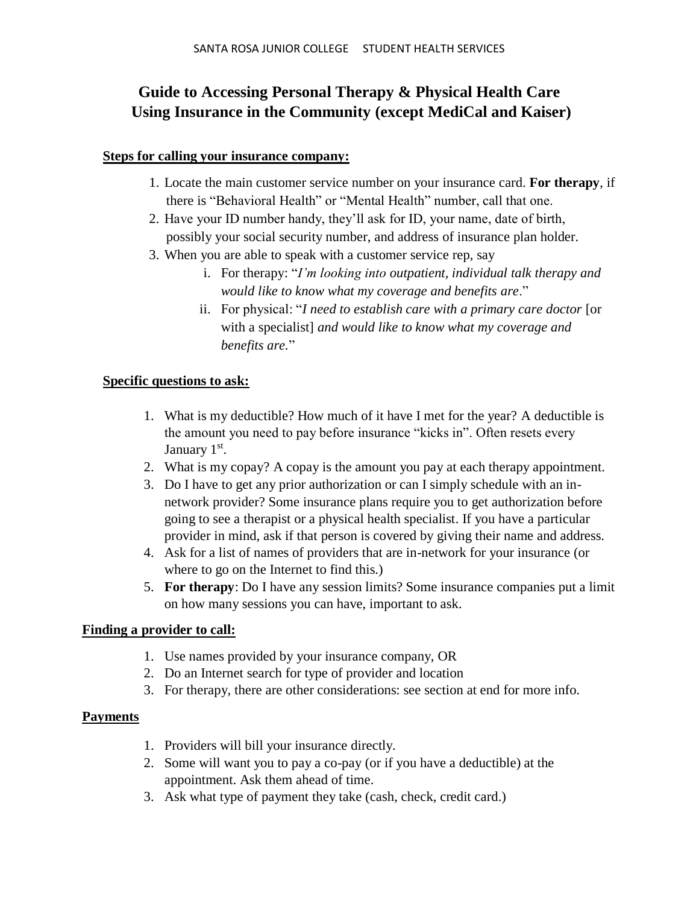# **Guide to Accessing Personal Therapy & Physical Health Care Using Insurance in the Community (except MediCal and Kaiser)**

#### **Steps for calling your insurance company:**

- 1. Locate the main customer service number on your insurance card. **For therapy**, if there is "Behavioral Health" or "Mental Health" number, call that one.
- 2. Have your ID number handy, they'll ask for ID, your name, date of birth, possibly your social security number, and address of insurance plan holder.
- 3. When you are able to speak with a customer service rep, say
	- i. For therapy: "*I'm looking into outpatient, individual talk therapy and would like to know what my coverage and benefits are*."
	- ii. For physical: "*I need to establish care with a primary care doctor* [or with a specialist] *and would like to know what my coverage and benefits are.*"

## **Specific questions to ask:**

- 1. What is my deductible? How much of it have I met for the year? A deductible is the amount you need to pay before insurance "kicks in". Often resets every January 1<sup>st</sup>.
- 2. What is my copay? A copay is the amount you pay at each therapy appointment.
- 3. Do I have to get any prior authorization or can I simply schedule with an innetwork provider? Some insurance plans require you to get authorization before going to see a therapist or a physical health specialist. If you have a particular provider in mind, ask if that person is covered by giving their name and address.
- 4. Ask for a list of names of providers that are in-network for your insurance (or where to go on the Internet to find this.)
- 5. **For therapy**: Do I have any session limits? Some insurance companies put a limit on how many sessions you can have, important to ask.

## **Finding a provider to call:**

- 1. Use names provided by your insurance company, OR
- 2. Do an Internet search for type of provider and location
- 3. For therapy, there are other considerations: see section at end for more info.

## **Payments**

- 1. Providers will bill your insurance directly.
- 2. Some will want you to pay a co-pay (or if you have a deductible) at the appointment. Ask them ahead of time.
- 3. Ask what type of payment they take (cash, check, credit card.)